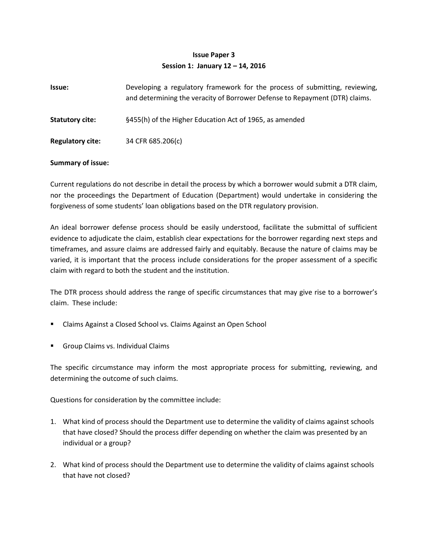## **Issue Paper 3 Session 1: January 12 – 14, 2016**

| <b>Issue:</b>           | Developing a regulatory framework for the process of submitting, reviewing,<br>and determining the veracity of Borrower Defense to Repayment (DTR) claims. |
|-------------------------|------------------------------------------------------------------------------------------------------------------------------------------------------------|
| <b>Statutory cite:</b>  | §455(h) of the Higher Education Act of 1965, as amended                                                                                                    |
| <b>Regulatory cite:</b> | 34 CFR 685.206(c)                                                                                                                                          |

## **Summary of issue:**

Current regulations do not describe in detail the process by which a borrower would submit a DTR claim, nor the proceedings the Department of Education (Department) would undertake in considering the forgiveness of some students' loan obligations based on the DTR regulatory provision.

An ideal borrower defense process should be easily understood, facilitate the submittal of sufficient evidence to adjudicate the claim, establish clear expectations for the borrower regarding next steps and timeframes, and assure claims are addressed fairly and equitably. Because the nature of claims may be varied, it is important that the process include considerations for the proper assessment of a specific claim with regard to both the student and the institution.

The DTR process should address the range of specific circumstances that may give rise to a borrower's claim. These include:

- Claims Against a Closed School vs. Claims Against an Open School
- **Group Claims vs. Individual Claims**

The specific circumstance may inform the most appropriate process for submitting, reviewing, and determining the outcome of such claims.

Questions for consideration by the committee include:

- 1. What kind of process should the Department use to determine the validity of claims against schools that have closed? Should the process differ depending on whether the claim was presented by an individual or a group?
- 2. What kind of process should the Department use to determine the validity of claims against schools that have not closed?